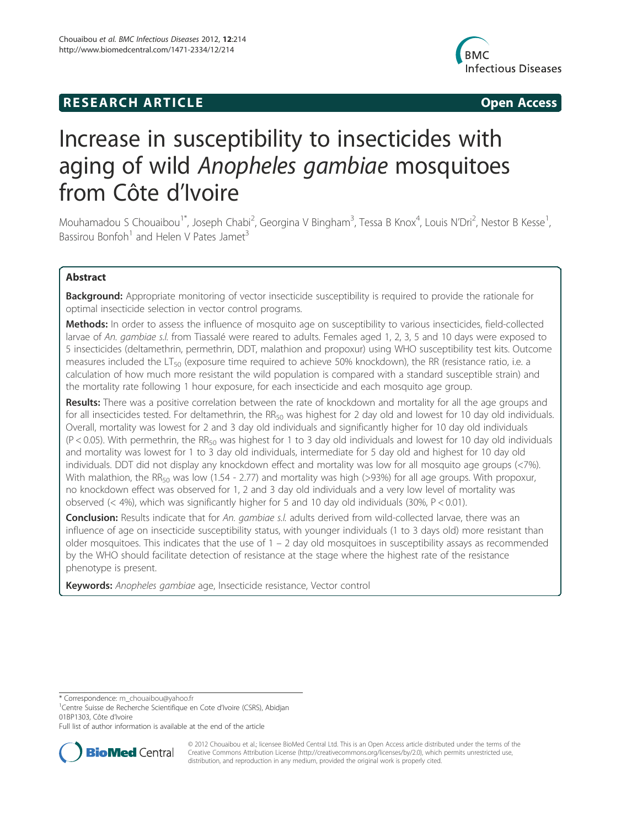## **RESEARCH ARTICLE Example 2014 CONSIDERING CONSIDERING CONSIDERING CONSIDERING CONSIDERING CONSIDERING CONSIDERING CONSIDERING CONSIDERING CONSIDERING CONSIDERING CONSIDERING CONSIDERING CONSIDERING CONSIDERING CONSIDE**



# Increase in susceptibility to insecticides with aging of wild Anopheles gambiae mosquitoes from Côte d'Ivoire

Mouhamadou S Chouaibou<sup>1\*</sup>, Joseph Chabi<sup>2</sup>, Georgina V Bingham<sup>3</sup>, Tessa B Knox<sup>4</sup>, Louis N'Dri<sup>2</sup>, Nestor B Kesse<sup>1</sup> , Bassirou Bonfoh<sup>1</sup> and Helen V Pates Jamet<sup>3</sup>

### Abstract

Background: Appropriate monitoring of vector insecticide susceptibility is required to provide the rationale for optimal insecticide selection in vector control programs.

Methods: In order to assess the influence of mosquito age on susceptibility to various insecticides, field-collected larvae of An. gambiae s.l. from Tiassalé were reared to adults. Females aged 1, 2, 3, 5 and 10 days were exposed to 5 insecticides (deltamethrin, permethrin, DDT, malathion and propoxur) using WHO susceptibility test kits. Outcome measures included the LT<sub>50</sub> (exposure time required to achieve 50% knockdown), the RR (resistance ratio, i.e. a calculation of how much more resistant the wild population is compared with a standard susceptible strain) and the mortality rate following 1 hour exposure, for each insecticide and each mosquito age group.

Results: There was a positive correlation between the rate of knockdown and mortality for all the age groups and for all insecticides tested. For deltamethrin, the RR<sub>50</sub> was highest for 2 day old and lowest for 10 day old individuals. Overall, mortality was lowest for 2 and 3 day old individuals and significantly higher for 10 day old individuals  $(P < 0.05)$ . With permethrin, the RR<sub>50</sub> was highest for 1 to 3 day old individuals and lowest for 10 day old individuals and mortality was lowest for 1 to 3 day old individuals, intermediate for 5 day old and highest for 10 day old individuals. DDT did not display any knockdown effect and mortality was low for all mosquito age groups (<7%). With malathion, the RR<sub>50</sub> was low (1.54 - 2.77) and mortality was high (>93%) for all age groups. With propoxur, no knockdown effect was observed for 1, 2 and 3 day old individuals and a very low level of mortality was observed (< 4%), which was significantly higher for 5 and 10 day old individuals (30%, P < 0.01).

**Conclusion:** Results indicate that for An. gambiae s.l. adults derived from wild-collected larvae, there was an influence of age on insecticide susceptibility status, with younger individuals (1 to 3 days old) more resistant than older mosquitoes. This indicates that the use of  $1 - 2$  day old mosquitoes in susceptibility assays as recommended by the WHO should facilitate detection of resistance at the stage where the highest rate of the resistance phenotype is present.

Keywords: Anopheles gambiae age, Insecticide resistance, Vector control

\* Correspondence: m\_chouaibou@yahoo.fr <sup>1</sup>

<sup>1</sup>Centre Suisse de Recherche Scientifique en Cote d'Ivoire (CSRS), Abidjan 01BP1303, Côte d'Ivoire

Full list of author information is available at the end of the article



© 2012 Chouaibou et al.; licensee BioMed Central Ltd. This is an Open Access article distributed under the terms of the Creative Commons Attribution License (http://creativecommons.org/licenses/by/2.0), which permits unrestricted use, distribution, and reproduction in any medium, provided the original work is properly cited.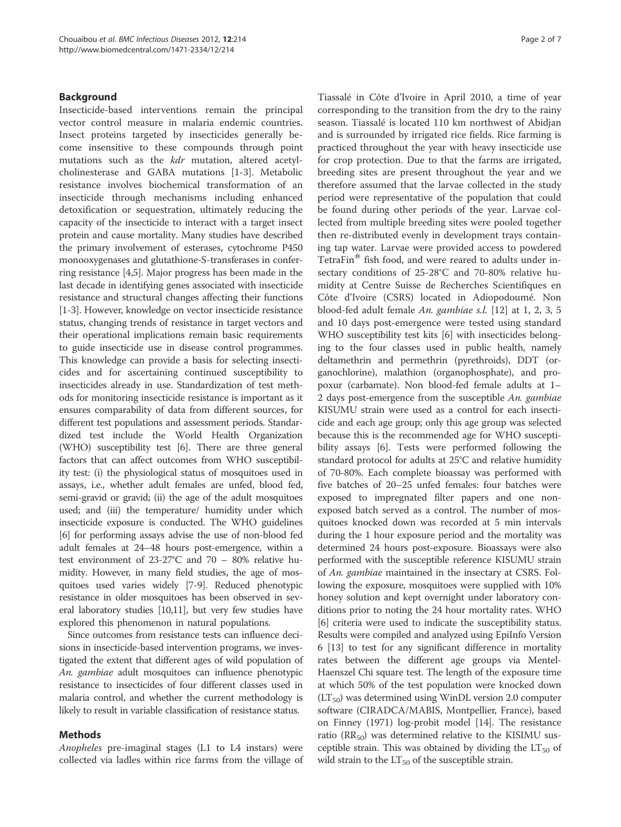#### Background

Insecticide-based interventions remain the principal vector control measure in malaria endemic countries. Insect proteins targeted by insecticides generally become insensitive to these compounds through point mutations such as the kdr mutation, altered acetylcholinesterase and GABA mutations [1-3]. Metabolic resistance involves biochemical transformation of an insecticide through mechanisms including enhanced detoxification or sequestration, ultimately reducing the capacity of the insecticide to interact with a target insect protein and cause mortality. Many studies have described the primary involvement of esterases, cytochrome P450 monooxygenases and glutathione-S-transferases in conferring resistance [4,5]. Major progress has been made in the last decade in identifying genes associated with insecticide resistance and structural changes affecting their functions [1-3]. However, knowledge on vector insecticide resistance status, changing trends of resistance in target vectors and their operational implications remain basic requirements to guide insecticide use in disease control programmes. This knowledge can provide a basis for selecting insecticides and for ascertaining continued susceptibility to insecticides already in use. Standardization of test methods for monitoring insecticide resistance is important as it ensures comparability of data from different sources, for different test populations and assessment periods. Standardized test include the World Health Organization (WHO) susceptibility test [6]. There are three general factors that can affect outcomes from WHO susceptibility test: (i) the physiological status of mosquitoes used in assays, i.e., whether adult females are unfed, blood fed, semi-gravid or gravid; (ii) the age of the adult mosquitoes used; and (iii) the temperature/ humidity under which insecticide exposure is conducted. The WHO guidelines [6] for performing assays advise the use of non-blood fed adult females at 24–48 hours post-emergence, within a test environment of 23-27°C and 70 – 80% relative humidity. However, in many field studies, the age of mosquitoes used varies widely [7-9]. Reduced phenotypic resistance in older mosquitoes has been observed in several laboratory studies [10,11], but very few studies have explored this phenomenon in natural populations.

Since outcomes from resistance tests can influence decisions in insecticide-based intervention programs, we investigated the extent that different ages of wild population of An. gambiae adult mosquitoes can influence phenotypic resistance to insecticides of four different classes used in malaria control, and whether the current methodology is likely to result in variable classification of resistance status.

#### Methods

Anopheles pre-imaginal stages (L1 to L4 instars) were collected via ladles within rice farms from the village of

Tiassalé in Côte d'Ivoire in April 2010, a time of year corresponding to the transition from the dry to the rainy season. Tiassalé is located 110 km northwest of Abidjan and is surrounded by irrigated rice fields. Rice farming is practiced throughout the year with heavy insecticide use for crop protection. Due to that the farms are irrigated, breeding sites are present throughout the year and we therefore assumed that the larvae collected in the study period were representative of the population that could be found during other periods of the year. Larvae collected from multiple breeding sites were pooled together then re-distributed evenly in development trays containing tap water. Larvae were provided access to powdered TetraFin $^{\circledR}$  fish food, and were reared to adults under insectary conditions of 25-28°C and 70-80% relative humidity at Centre Suisse de Recherches Scientifiques en Côte d'Ivoire (CSRS) located in Adiopodoumé. Non blood-fed adult female An. gambiae s.l. [12] at 1, 2, 3, 5 and 10 days post-emergence were tested using standard WHO susceptibility test kits [6] with insecticides belonging to the four classes used in public health, namely deltamethrin and permethrin (pyrethroids), DDT (organochlorine), malathion (organophosphate), and propoxur (carbamate). Non blood-fed female adults at 1– 2 days post-emergence from the susceptible An. gambiae KISUMU strain were used as a control for each insecticide and each age group; only this age group was selected because this is the recommended age for WHO susceptibility assays [6]. Tests were performed following the standard protocol for adults at 25°C and relative humidity of 70-80%. Each complete bioassay was performed with five batches of 20–25 unfed females: four batches were exposed to impregnated filter papers and one nonexposed batch served as a control. The number of mosquitoes knocked down was recorded at 5 min intervals during the 1 hour exposure period and the mortality was determined 24 hours post-exposure. Bioassays were also performed with the susceptible reference KISUMU strain of An. gambiae maintained in the insectary at CSRS. Following the exposure, mosquitoes were supplied with 10% honey solution and kept overnight under laboratory conditions prior to noting the 24 hour mortality rates. WHO [6] criteria were used to indicate the susceptibility status. Results were compiled and analyzed using EpiInfo Version 6 [13] to test for any significant difference in mortality rates between the different age groups via Mentel-Haenszel Chi square test. The length of the exposure time at which 50% of the test population were knocked down  $(LT_{50})$  was determined using WinDL version 2.0 computer software (CIRADCA/MABIS, Montpellier, France), based on Finney (1971) log-probit model [14]. The resistance ratio ( $RR_{50}$ ) was determined relative to the KISIMU susceptible strain. This was obtained by dividing the  $LT_{50}$  of wild strain to the  $LT_{50}$  of the susceptible strain.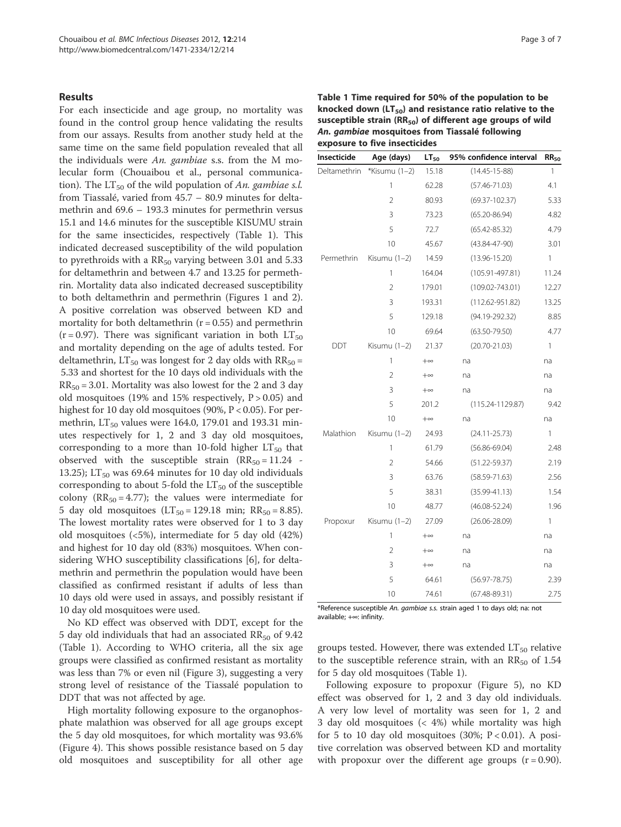#### Results

For each insecticide and age group, no mortality was found in the control group hence validating the results from our assays. Results from another study held at the same time on the same field population revealed that all the individuals were An. gambiae s.s. from the M molecular form (Chouaibou et al., personal communication). The  $LT_{50}$  of the wild population of An. gambiae s.l. from Tiassalé, varied from 45.7 – 80.9 minutes for deltamethrin and 69.6 – 193.3 minutes for permethrin versus 15.1 and 14.6 minutes for the susceptible KISUMU strain for the same insecticides, respectively (Table 1). This indicated decreased susceptibility of the wild population to pyrethroids with a  $RR_{50}$  varying between 3.01 and 5.33 for deltamethrin and between 4.7 and 13.25 for permethrin. Mortality data also indicated decreased susceptibility to both deltamethrin and permethrin (Figures 1 and 2). A positive correlation was observed between KD and mortality for both deltamethrin  $(r = 0.55)$  and permethrin  $(r = 0.97)$ . There was significant variation in both LT<sub>50</sub> and mortality depending on the age of adults tested. For deltamethrin,  $LT_{50}$  was longest for 2 day olds with  $RR_{50} =$ 5.33 and shortest for the 10 days old individuals with the  $RR_{50} = 3.01$ . Mortality was also lowest for the 2 and 3 day old mosquitoes (19% and 15% respectively, P > 0.05) and highest for 10 day old mosquitoes (90%, P < 0.05). For permethrin,  $LT_{50}$  values were 164.0, 179.01 and 193.31 minutes respectively for 1, 2 and 3 day old mosquitoes, corresponding to a more than 10-fold higher  $LT_{50}$  that observed with the susceptible strain  $(RR_{50} = 11.24$ 13.25); LT<sub>50</sub> was 69.64 minutes for 10 day old individuals corresponding to about 5-fold the  $LT_{50}$  of the susceptible colony ( $RR_{50} = 4.77$ ); the values were intermediate for 5 day old mosquitoes  $(LT_{50} = 129.18 \text{ min}; \text{RR}_{50} = 8.85)$ . The lowest mortality rates were observed for 1 to 3 day old mosquitoes (<5%), intermediate for 5 day old (42%) and highest for 10 day old (83%) mosquitoes. When considering WHO susceptibility classifications [6], for deltamethrin and permethrin the population would have been classified as confirmed resistant if adults of less than 10 days old were used in assays, and possibly resistant if 10 day old mosquitoes were used.

No KD effect was observed with DDT, except for the 5 day old individuals that had an associated  $RR_{50}$  of 9.42 (Table 1). According to WHO criteria, all the six age groups were classified as confirmed resistant as mortality was less than 7% or even nil (Figure 3), suggesting a very strong level of resistance of the Tiassalé population to DDT that was not affected by age.

High mortality following exposure to the organophosphate malathion was observed for all age groups except the 5 day old mosquitoes, for which mortality was 93.6% (Figure 4). This shows possible resistance based on 5 day old mosquitoes and susceptibility for all other age

Table 1 Time required for 50% of the population to be knocked down (LT<sub>50</sub>) and resistance ratio relative to the susceptible strain  $(RR_{50})$  of different age groups of wild An. gambiae mosquitoes from Tiassalé following exposure to five insecticides

| Insecticide  | Age (days)     | LT <sub>50</sub> | 95% confidence interval | RR <sub>50</sub> |
|--------------|----------------|------------------|-------------------------|------------------|
| Deltamethrin | *Kisumu (1-2)  | 15.18            | $(14.45 - 15 - 88)$     | $\mathbf{1}$     |
|              | 1              | 62.28            | $(57.46 - 71.03)$       | 4.1              |
|              | $\overline{2}$ | 80.93            | $(69.37 - 102.37)$      | 5.33             |
|              | 3              | 73.23            | $(65.20 - 86.94)$       | 4.82             |
|              | 5              | 72.7             | $(65.42 - 85.32)$       | 4.79             |
|              | 10             | 45.67            | $(43.84 - 47 - 90)$     | 3.01             |
| Permethrin   | Kisumu (1-2)   | 14.59            | $(13.96 - 15.20)$       | $\mathbf{1}$     |
|              | $\mathbb{1}$   | 164.04           | $(105.91 - 497.81)$     | 11.24            |
|              | $\overline{2}$ | 179.01           | $(109.02 - 743.01)$     | 12.27            |
|              | 3              | 193.31           | $(112.62 - 951.82)$     | 13.25            |
|              | 5              | 129.18           | $(94.19 - 292.32)$      | 8.85             |
|              | 10             | 69.64            | $(63.50 - 79.50)$       | 4.77             |
| <b>DDT</b>   | Kisumu (1-2)   | 21.37            | $(20.70 - 21.03)$       | 1                |
|              | 1              | $+\infty$        | na                      | na               |
|              | $\overline{2}$ | $+\infty$        | na                      | na               |
|              | 3              | $+\infty$        | na                      | na               |
|              | 5              | 201.2            | $(115.24 - 1129.87)$    | 9.42             |
|              | 10             | $+\infty$        | na                      | na               |
| Malathion    | Kisumu (1-2)   | 24.93            | $(24.11 - 25.73)$       | 1                |
|              | 1              | 61.79            | $(56.86 - 69.04)$       | 2.48             |
|              | $\overline{2}$ | 54.66            | $(51.22 - 59.37)$       | 2.19             |
|              | 3              | 63.76            | $(58.59 - 71.63)$       | 2.56             |
|              | 5              | 38.31            | $(35.99 - 41.13)$       | 1.54             |
|              | 10             | 48.77            | $(46.08 - 52.24)$       | 1.96             |
| Propoxur     | Kisumu (1-2)   | 27.09            | $(26.06 - 28.09)$       | 1                |
|              | 1              | $+\infty$        | na                      | na               |
|              | 2              | $+\infty$        | na                      | na               |
|              | 3              | $+\infty$        | na                      | na               |
|              | 5              | 64.61            | $(56.97 - 78.75)$       | 2.39             |
|              | 10             | 74.61            | $(67.48 - 89.31)$       | 2.75             |

\*Reference susceptible An. gambiae s.s. strain aged 1 to days old; na: not available; +∞: infinity.

groups tested. However, there was extended  $LT_{50}$  relative to the susceptible reference strain, with an  $RR_{50}$  of 1.54 for 5 day old mosquitoes (Table 1).

Following exposure to propoxur (Figure 5), no KD effect was observed for 1, 2 and 3 day old individuals. A very low level of mortality was seen for 1, 2 and 3 day old mosquitoes (< 4%) while mortality was high for 5 to 10 day old mosquitoes  $(30\%; P < 0.01)$ . A positive correlation was observed between KD and mortality with propoxur over the different age groups  $(r = 0.90)$ .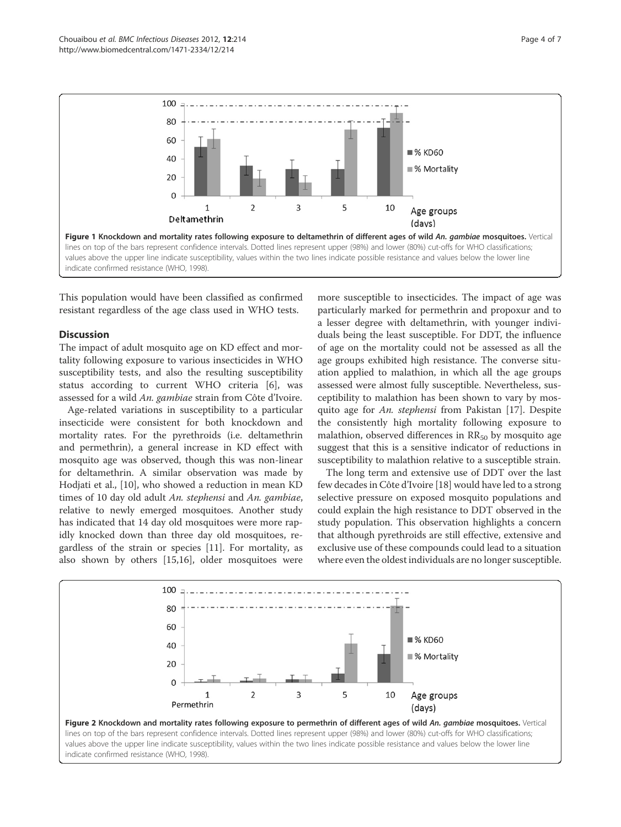

This population would have been classified as confirmed resistant regardless of the age class used in WHO tests.

#### **Discussion**

The impact of adult mosquito age on KD effect and mortality following exposure to various insecticides in WHO susceptibility tests, and also the resulting susceptibility status according to current WHO criteria [6], was assessed for a wild An. gambiae strain from Côte d'Ivoire.

Age-related variations in susceptibility to a particular insecticide were consistent for both knockdown and mortality rates. For the pyrethroids (i.e. deltamethrin and permethrin), a general increase in KD effect with mosquito age was observed, though this was non-linear for deltamethrin. A similar observation was made by Hodjati et al., [10], who showed a reduction in mean KD times of 10 day old adult An. stephensi and An. gambiae, relative to newly emerged mosquitoes. Another study has indicated that 14 day old mosquitoes were more rapidly knocked down than three day old mosquitoes, regardless of the strain or species [11]. For mortality, as also shown by others [15,16], older mosquitoes were

more susceptible to insecticides. The impact of age was particularly marked for permethrin and propoxur and to a lesser degree with deltamethrin, with younger individuals being the least susceptible. For DDT, the influence of age on the mortality could not be assessed as all the age groups exhibited high resistance. The converse situation applied to malathion, in which all the age groups assessed were almost fully susceptible. Nevertheless, susceptibility to malathion has been shown to vary by mosquito age for An. stephensi from Pakistan [17]. Despite the consistently high mortality following exposure to malathion, observed differences in  $RR_{50}$  by mosquito age suggest that this is a sensitive indicator of reductions in susceptibility to malathion relative to a susceptible strain.

The long term and extensive use of DDT over the last few decades in Côte d'Ivoire [18] would have led to a strong selective pressure on exposed mosquito populations and could explain the high resistance to DDT observed in the study population. This observation highlights a concern that although pyrethroids are still effective, extensive and exclusive use of these compounds could lead to a situation where even the oldest individuals are no longer susceptible.

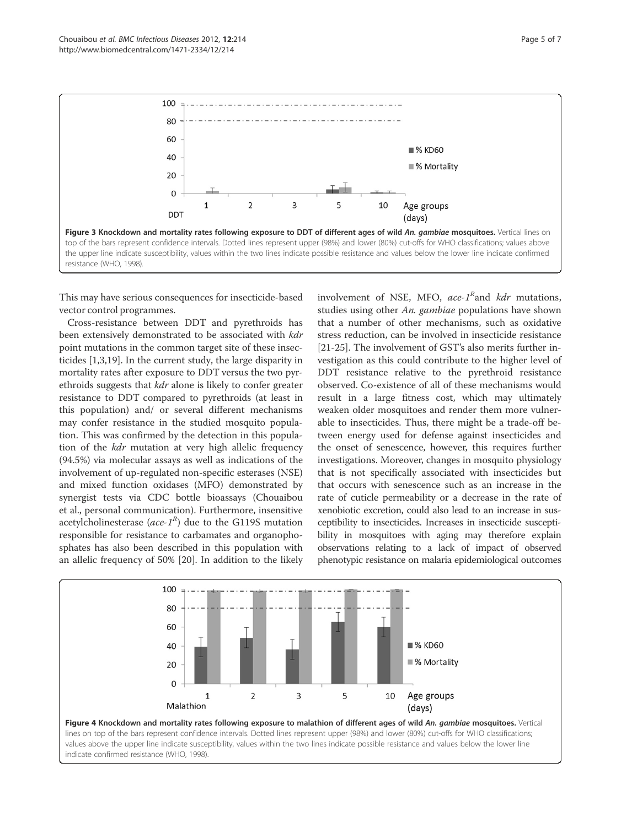

This may have serious consequences for insecticide-based vector control programmes.

Cross-resistance between DDT and pyrethroids has been extensively demonstrated to be associated with kdr point mutations in the common target site of these insecticides [1,3,19]. In the current study, the large disparity in mortality rates after exposure to DDT versus the two pyrethroids suggests that kdr alone is likely to confer greater resistance to DDT compared to pyrethroids (at least in this population) and/ or several different mechanisms may confer resistance in the studied mosquito population. This was confirmed by the detection in this population of the kdr mutation at very high allelic frequency (94.5%) via molecular assays as well as indications of the involvement of up-regulated non-specific esterases (NSE) and mixed function oxidases (MFO) demonstrated by synergist tests via CDC bottle bioassays (Chouaibou et al., personal communication). Furthermore, insensitive acetylcholinesterase (*ace-1<sup>R</sup>*) due to the G119S mutation responsible for resistance to carbamates and organophosphates has also been described in this population with an allelic frequency of 50% [20]. In addition to the likely involvement of NSE, MFO, ace- $1^R$  and kdr mutations, studies using other An. gambiae populations have shown that a number of other mechanisms, such as oxidative stress reduction, can be involved in insecticide resistance [21-25]. The involvement of GST's also merits further investigation as this could contribute to the higher level of DDT resistance relative to the pyrethroid resistance observed. Co-existence of all of these mechanisms would result in a large fitness cost, which may ultimately weaken older mosquitoes and render them more vulnerable to insecticides. Thus, there might be a trade-off between energy used for defense against insecticides and the onset of senescence, however, this requires further investigations. Moreover, changes in mosquito physiology that is not specifically associated with insecticides but that occurs with senescence such as an increase in the rate of cuticle permeability or a decrease in the rate of xenobiotic excretion, could also lead to an increase in susceptibility to insecticides. Increases in insecticide susceptibility in mosquitoes with aging may therefore explain observations relating to a lack of impact of observed phenotypic resistance on malaria epidemiological outcomes

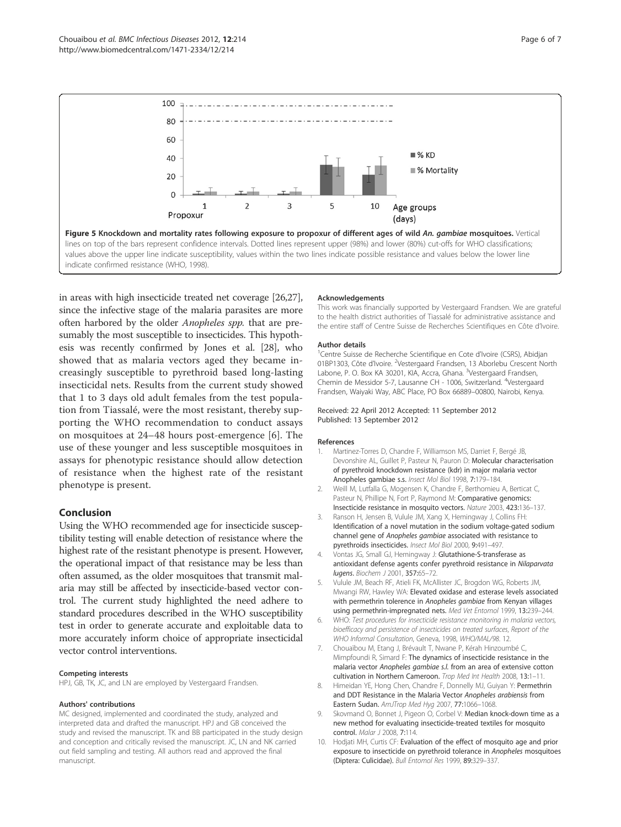

in areas with high insecticide treated net coverage [26,27], since the infective stage of the malaria parasites are more often harbored by the older Anopheles spp. that are presumably the most susceptible to insecticides. This hypothesis was recently confirmed by Jones et al. [28], who showed that as malaria vectors aged they became increasingly susceptible to pyrethroid based long-lasting insecticidal nets. Results from the current study showed that 1 to 3 days old adult females from the test population from Tiassalé, were the most resistant, thereby supporting the WHO recommendation to conduct assays on mosquitoes at 24–48 hours post-emergence [6]. The use of these younger and less susceptible mosquitoes in assays for phenotypic resistance should allow detection of resistance when the highest rate of the resistant phenotype is present.

#### Conclusion

Using the WHO recommended age for insecticide susceptibility testing will enable detection of resistance where the highest rate of the resistant phenotype is present. However, the operational impact of that resistance may be less than often assumed, as the older mosquitoes that transmit malaria may still be affected by insecticide-based vector control. The current study highlighted the need adhere to standard procedures described in the WHO susceptibility test in order to generate accurate and exploitable data to more accurately inform choice of appropriate insecticidal vector control interventions.

#### Competing interests

HPJ, GB, TK, JC, and LN are employed by Vestergaard Frandsen.

#### Authors' contributions

MC designed, implemented and coordinated the study, analyzed and interpreted data and drafted the manuscript. HPJ and GB conceived the study and revised the manuscript. TK and BB participated in the study design and conception and critically revised the manuscript. JC, LN and NK carried out field sampling and testing. All authors read and approved the final manuscript.

#### Acknowledgements

This work was financially supported by Vestergaard Frandsen. We are grateful to the health district authorities of Tiassalé for administrative assistance and the entire staff of Centre Suisse de Recherches Scientifiques en Côte d'Ivoire.

#### Author details

<sup>1</sup>Centre Suisse de Recherche Scientifique en Cote d'Ivoire (CSRS), Abidjan 01BP1303, Côte d'Ivoire. <sup>2</sup>Vestergaard Frandsen, 13 Aborlebu Crescent North Labone, P. O. Box KA 30201, KIA, Accra, Ghana. <sup>3</sup>Vestergaard Frandsen, Chemin de Messidor 5-7, Lausanne CH - 1006, Switzerland. <sup>4</sup>Vestergaard Frandsen, Waiyaki Way, ABC Place, PO Box 66889–00800, Nairobi, Kenya.

#### Received: 22 April 2012 Accepted: 11 September 2012 Published: 13 September 2012

#### References

- Martinez-Torres D, Chandre F, Williamson MS, Darriet F, Bergé JB, Devonshire AL, Guillet P, Pasteur N, Pauron D: Molecular characterisation of pyrethroid knockdown resistance (kdr) in major malaria vector Anopheles gambiae s.s. Insect Mol Biol 1998, 7:179–184.
- 2. Weill M, Lutfalla G, Mogensen K, Chandre F, Berthomieu A, Berticat C, Pasteur N, Phillipe N, Fort P, Raymond M: Comparative genomics: Insecticide resistance in mosquito vectors. Nature 2003, 423:136–137.
- 3. Ranson H, Jensen B, Vulule JM, Xang X, Hemingway J, Collins FH: Identification of a novel mutation in the sodium voltage-gated sodium channel gene of Anopheles gambiae associated with resistance to pyrethroids insecticides. Insect Mol Biol 2000, 9:491–497.
- 4. Vontas JG, Small GJ, Hemingway J: Glutathione-S-transferase as antioxidant defense agents confer pyrethroid resistance in Nilaparvata lugens. Biochem J 2001, 357:65–72.
- 5. Vulule JM, Beach RF, Atieli FK, McAllister JC, Brogdon WG, Roberts JM, Mwangi RW, Hawley WA: Elevated oxidase and esterase levels associated with permethrin tolerence in Anopheles gambiae from Kenyan villages using permethrin-impregnated nets. Med Vet Entomol 1999, 13:239–244.
- 6. WHO: Test procedures for insecticide resistance monitoring in malaria vectors, bioefficacy and persistence of insecticides on treated surfaces, Report of the WHO Informal Consultation, Geneva, 1998, WHO/MAL/98. 12.
- 7. Chouaïbou M, Etang J, Brévault T, Nwane P, Kérah Hinzoumbé C, Mimpfoundi R, Simard F: The dynamics of insecticide resistance in the malaria vector Anopheles gambiae s.l. from an area of extensive cotton cultivation in Northern Cameroon. Trop Med Int Health 2008, 13:1–11.
- 8. Himeidan YE, Hong Chen, Chandre F, Donnelly MJ, Guiyan Y: Permethrin and DDT Resistance in the Malaria Vector Anopheles arabiensis from Eastern Sudan. AmJTrop Med Hyg 2007, 77:1066–1068.
- 9. Skovmand O, Bonnet J, Pigeon O, Corbel V: Median knock-down time as a new method for evaluating insecticide-treated textiles for mosquito control. Malar J 2008, 7:114.
- 10. Hodjati MH, Curtis CF: Evaluation of the effect of mosquito age and prior exposure to insecticide on pyrethroid tolerance in Anopheles mosquitoes (Diptera: Culicidae). Bull Entomol Res 1999, 89:329–337.